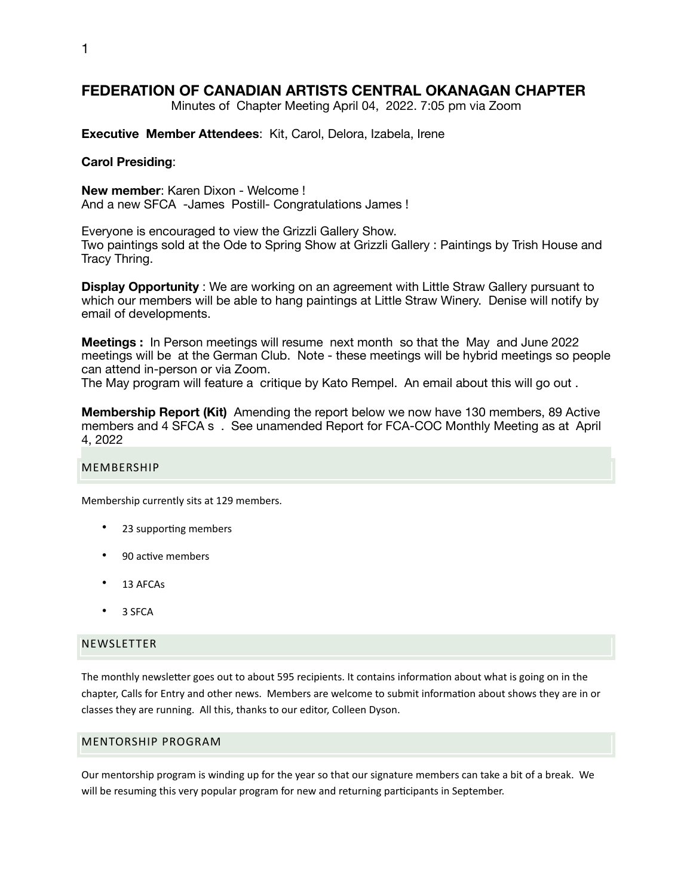# **FEDERATION OF CANADIAN ARTISTS CENTRAL OKANAGAN CHAPTER**

Minutes of Chapter Meeting April 04, 2022. 7:05 pm via Zoom

**Executive Member Attendees**: Kit, Carol, Delora, Izabela, Irene

#### **Carol Presiding**:

**New member**: Karen Dixon - Welcome ! And a new SFCA -James Postill- Congratulations James !

Everyone is encouraged to view the Grizzli Gallery Show. Two paintings sold at the Ode to Spring Show at Grizzli Gallery : Paintings by Trish House and Tracy Thring.

**Display Opportunity** : We are working on an agreement with Little Straw Gallery pursuant to which our members will be able to hang paintings at Little Straw Winery. Denise will notify by email of developments.

**Meetings :** In Person meetings will resume next month so that the May and June 2022 meetings will be at the German Club. Note - these meetings will be hybrid meetings so people can attend in-person or via Zoom.

The May program will feature a critique by Kato Rempel. An email about this will go out .

**Membership Report (Kit)** Amending the report below we now have 130 members, 89 Active members and 4 SFCA s . See unamended Report for FCA-COC Monthly Meeting as at April 4, 2022

#### MEMBERSHIP

Membership currently sits at 129 members.

- 23 supporting members
- 90 active members
- 13 AFCAs
- 3 SFCA

#### NEWSLETTER

The monthly newsletter goes out to about 595 recipients. It contains information about what is going on in the chapter, Calls for Entry and other news. Members are welcome to submit information about shows they are in or classes they are running. All this, thanks to our editor, Colleen Dyson.

### MENTORSHIP PROGRAM

Our mentorship program is winding up for the year so that our signature members can take a bit of a break. We will be resuming this very popular program for new and returning participants in September.